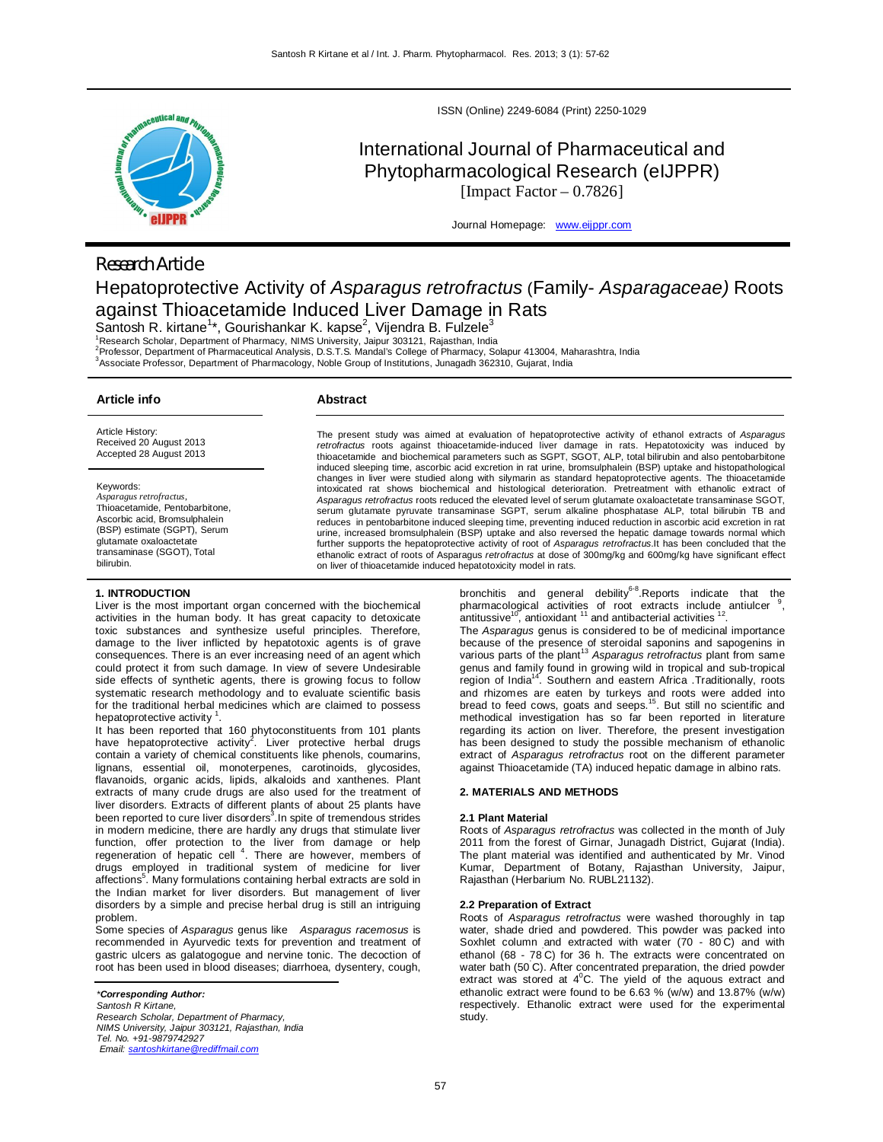

ISSN (Online) 2249-6084 (Print) 2250-1029

# International Journal of Pharmaceutical and Phytopharmacological Research (eIJPPR) [Impact Factor  $-0.7826$ ]

Journal Homepage: www.eijppr.com

## *Research Article*

# Hepatoprotective Activity of *Asparagus retrofractus* (Family- *Asparagaceae)* Roots against Thioacetamide Induced Liver Damage in Rats

Santosh R. kirtane<sup>1\*</sup>, Gourishankar K. kapse<sup>2</sup>, Vijendra B. Fulzele<sup>3</sup>

<sup>1</sup>Research Scholar, Department of Pharmacy, NIMS University, Jaipur 303121, Rajasthan, India

2 Professor, Department of Pharmaceutical Analysis, D.S.T.S. Mandal's College of Pharmacy, Solapur 413004, Maharashtra, India 3 Associate Professor, Department of Pharmacology, Noble Group of Institutions, Junagadh 362310, Gujarat, India

### **Article info**

## **Abstract**

Article History: Received 20 August 2013 Accepted 28 August 2013

Keywords: *Asparagus retrofractus*, Thioacetamide, Pentobarbitone, Ascorbic acid, Bromsulphalein (BSP) estimate (SGPT), Serum glutamate oxaloactetate transaminase (SGOT), Total bilirubin.

## **1. INTRODUCTION**

Liver is the most important organ concerned with the biochemical activities in the human body. It has great capacity to detoxicate toxic substances and synthesize useful principles. Therefore, damage to the liver inflicted by hepatotoxic agents is of grave consequences. There is an ever increasing need of an agent which could protect it from such damage. In view of severe Undesirable side effects of synthetic agents, there is growing focus to follow systematic research methodology and to evaluate scientific basis for the traditional herbal medicines which are claimed to possess hepatoprotective activity 1 .

It has been reported that 160 phytoconstituents from 101 plants<br>have hepatoprotective activity<sup>2</sup>. Liver protective herbal drugs contain a variety of chemical constituents like phenols, coumarins, lignans, essential oil, monoterpenes, carotinoids, glycosides, flavanoids, organic acids, lipids, alkaloids and xanthenes. Plant extracts of many crude drugs are also used for the treatment of liver disorders. Extracts of different plants of about 25 plants have been reported to cure liver disorders<sup>3</sup>. In spite of tremendous strides in modern medicine, there are hardly any drugs that stimulate liver function, offer protection to the liver from damage or help<br>regeneration of hepatic cell <sup>4</sup>. There are however, members of drugs employed in traditional system of medicine for liver affections<sup>5</sup>. Many formulations containing herbal extracts are sold in the Indian market for liver disorders. But management of liver disorders by a simple and precise herbal drug is still an intriguing problem.

Some species of *Asparagus* genus like *Asparagus racemosus* is recommended in Ayurvedic texts for prevention and treatment of gastric ulcers as galatogogue and nervine tonic. The decoction of root has been used in blood diseases; diarrhoea, dysentery, cough,

*\*Corresponding Author: Santosh R Kirtane, Research Scholar, Department of Pharmacy, NIMS University, Jaipur 303121, Rajasthan, India Tel. No. +91-9879742927 Email: santoshkirtane@rediffmail.com*

The present study was aimed at evaluation of hepatoprotective activity of ethanol extracts of *Asparagus retrofractus* roots against thioacetamide-induced liver damage in rats. Hepatotoxicity was induced by thioacetamide and biochemical parameters such as SGPT, SGOT, ALP, total bilirubin and also pentobarbitone induced sleeping time, ascorbic acid excretion in rat urine, bromsulphalein (BSP) uptake and histopathological changes in liver were studied along with silymarin as standard hepatoprotective agents. The thioacetamide intoxicated rat shows biochemical and histological deterioration. Pretreatment with ethanolic extract of *Asparagus retrofractus* roots reduced the elevated level of serum glutamate oxaloactetate transaminase SGOT, serum glutamate pyruvate transaminase SGPT, serum alkaline phosphatase ALP, total bilirubin TB and reduces in pentobarbitone induced sleeping time, preventing induced reduction in ascorbic acid excretion in rat urine, increased bromsulphalein (BSP) uptake and also reversed the hepatic damage towards normal which further supports the hepatoprotective activity of root of *Asparagus retrofractus*.It has been concluded that the ethanolic extract of roots of Asparagus *retrofractus* at dose of 300mg/kg and 600mg/kg have significant effect on liver of thioacetamide induced hepatotoxicity model in rats.

> bronchitis and general debility<sup>6-8</sup>.Reports indicate that the pharmacological activities of root extracts include antiulcer <sup>9</sup> , antitussive $^{10}$ , antioxidant  $^{11}$  and antibacterial activities  $^{12}$ .

> The *Asparagus* genus is considered to be of medicinal importance because of the presence of steroidal saponins and sapogenins in<br>various parts of the plant<sup>13</sup> As*paragus retrofractus* plant from same genus and family found in growing wild in tropical and sub-tropical region of India<sup>14</sup>. Southern and eastern Africa Traditionally, roots and rhizomes are eaten by turkeys and roots were added into bread to feed cows, goats and seeps.<sup>15</sup>. But still no scientific and methodical investigation has so far been reported in literature regarding its action on liver. Therefore, the present investigation has been designed to study the possible mechanism of ethanolic extract of *Asparagus retrofractus* root on the different parameter against Thioacetamide (TA) induced hepatic damage in albino rats.

### **2. MATERIALS AND METHODS**

#### **2.1 Plant Material**

Roots of *Asparagus retrofractus* was collected in the month of July 2011 from the forest of Girnar, Junagadh District, Gujarat (India). The plant material was identified and authenticated by Mr. Vinod Kumar, Department of Botany, Rajasthan University, Jaipur, Rajasthan (Herbarium No. RUBL21132).

#### **2.2 Preparation of Extract**

Roots of *Asparagus retrofractus* were washed thoroughly in tap water, shade dried and powdered. This powder was packed into Soxhlet column and extracted with water (70 - 80°C) and with ethanol (68 - 78°C) for 36 h. The extracts were concentrated on water bath (50°C). After concentrated preparation, the dried powder extract was stored at 4<sup>°</sup>C. The yield of the aquous extract and ethanolic extract were found to be 6.63 % (w/w) and 13.87% (w/w) respectively. Ethanolic extract were used for the experimental study.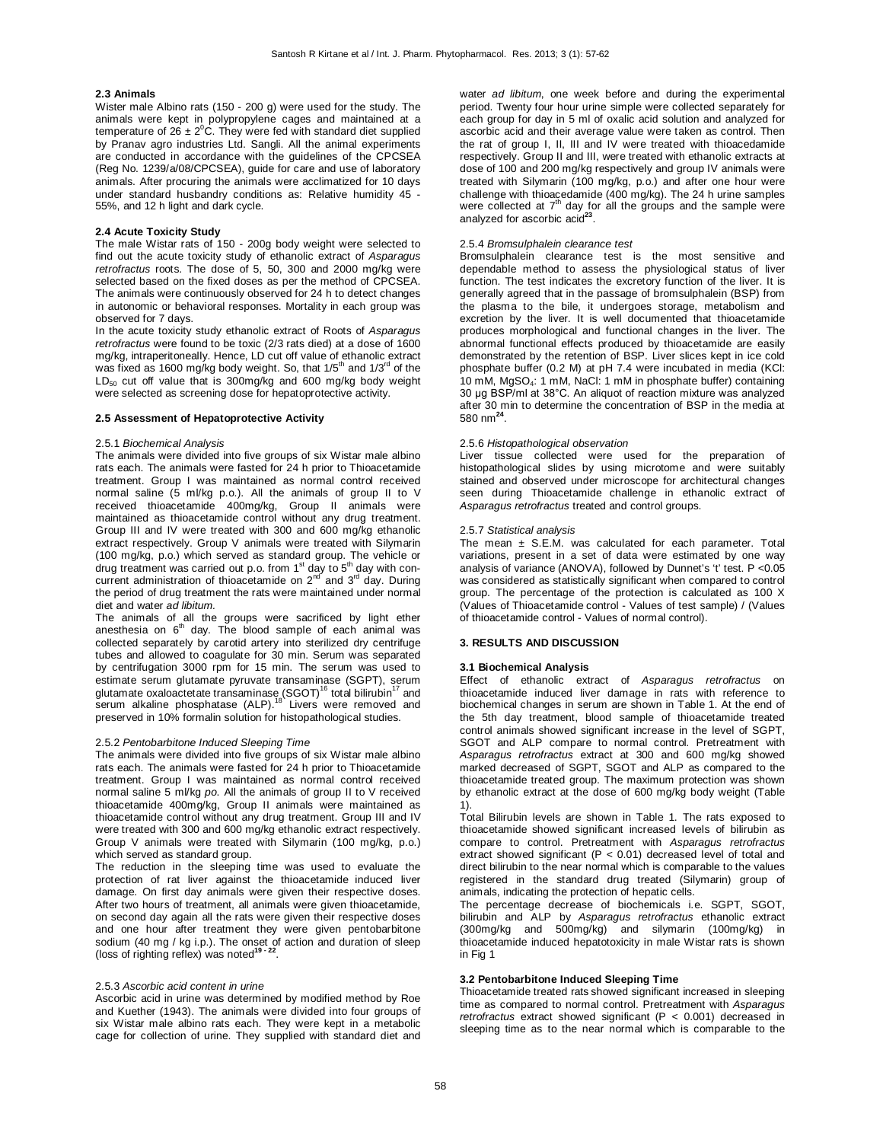#### **2.3 Animals**

Wister male Albino rats (150 - 200 g) were used for the study. The animals were kept in polypropylene cages and maintained at a temperature of  $26 \pm 2^0$ C. They were fed with standard diet supplied by Pranav agro industries Ltd. Sangli. All the animal experiments are conducted in accordance with the guidelines of the CPCSEA (Reg No. 1239/a/08/CPCSEA), guide for care and use of laboratory animals. After procuring the animals were acclimatized for 10 days under standard husbandry conditions as: Relative humidity 45 - 55%, and 12 h light and dark cycle.

## **2.4 Acute Toxicity Study**

The male Wistar rats of 150 - 200g body weight were selected to find out the acute toxicity study of ethanolic extract of *Asparagus retrofractus* roots. The dose of 5, 50, 300 and 2000 mg/kg were selected based on the fixed doses as per the method of CPCSEA. The animals were continuously observed for 24 h to detect changes in autonomic or behavioral responses. Mortality in each group was observed for 7 days.

In the acute toxicity study ethanolic extract of Roots of *Asparagus retrofractus* were found to be toxic (2/3 rats died) at a dose of 1600 mg/kg, intraperitoneally. Hence, LD cut off value of ethanolic extract was fixed as 1600 mg/kg body weight. So, that  $1/5<sup>th</sup>$  and  $1/3<sup>rd</sup>$  of the LD<sub>50</sub> cut off value that is 300mg/kg and 600 mg/kg body weight were selected as screening dose for hepatoprotective activity.

## **2.5 Assessment of Hepatoprotective Activity**

#### 2.5.1 *Biochemical Analysis*

The animals were divided into five groups of six Wistar male albino rats each. The animals were fasted for 24 h prior to Thioacetamide treatment. Group I was maintained as normal control received normal saline (5 ml/kg p.o.). All the animals of group II to V received thioacetamide 400mg/kg, Group II animals were maintained as thioacetamide control without any drug treatment. Group III and IV were treated with 300 and 600 mg/kg ethanolic extract respectively. Group V animals were treated with Silymarin (100 mg/kg, p.o.) which served as standard group. The vehicle or drug treatment was carried out p.o. from  $1<sup>st</sup>$  day to  $5<sup>th</sup>$  day with concurrent administration of thioacetamide on  $2<sup>nd</sup>$  and  $3<sup>rd</sup>$  day. During the period of drug treatment the rats were maintained under normal diet and water *ad libitum.*

The animals of all the groups were sacrificed by light ether<br>anesthesia on 6<sup>th</sup> day. The blood sample of each animal was collected separately by carotid artery into sterilized dry centrifuge tubes and allowed to coagulate for 30 min. Serum was separated by centrifugation 3000 rpm for 15 min. The serum was used to estimate serum glutamate pyruvate transaminase (SGPT), serum<br>glutamate oxaloactetate transaminase (SGOT)<sup>16</sup> total bilirubin<sup>17</sup> and<br>serum alkaline phosphatase (ALP).<sup>18</sup> Livers were removed and preserved in 10% formalin solution for histopathological studies.

#### 2.5.2 *Pentobarbitone Induced Sleeping Time*

The animals were divided into five groups of six Wistar male albino rats each. The animals were fasted for 24 h prior to Thioacetamide treatment. Group I was maintained as normal control received normal saline 5 ml/kg *po*. All the animals of group II to V received thioacetamide 400mg/kg, Group II animals were maintained as thioacetamide control without any drug treatment. Group III and IV were treated with 300 and 600 mg/kg ethanolic extract respectively. Group V animals were treated with Silymarin (100 mg/kg, p.o.) which served as standard group.

The reduction in the sleeping time was used to evaluate the protection of rat liver against the thioacetamide induced liver damage. On first day animals were given their respective doses. After two hours of treatment, all animals were given thioacetamide, on second day again all the rats were given their respective doses and one hour after treatment they were given pentobarbitone sodium (40 mg / kg i.p.). The onset of action and duration of sleep (loss of righting reflex) was noted**19 - <sup>22</sup>** .

## 2.5.3 *Ascorbic acid content in urine*

Ascorbic acid in urine was determined by modified method by Roe and Kuether (1943). The animals were divided into four groups of six Wistar male albino rats each. They were kept in a metabolic cage for collection of urine. They supplied with standard diet and

water *ad libitum*, one week before and during the experimental period. Twenty four hour urine simple were collected separately for each group for day in 5 ml of oxalic acid solution and analyzed for ascorbic acid and their average value were taken as control. Then the rat of group I, II, III and IV were treated with thioacedamide respectively. Group II and III, were treated with ethanolic extracts at dose of 100 and 200 mg/kg respectively and group IV animals were treated with Silymarin (100 mg/kg, p.o.) and after one hour were challenge with thioacedamide (400 mg/kg). The 24 h urine samples were collected at 7<sup>th</sup> day for all the groups and the sample were analyzed for ascorbic acid<sup>23</sup>.

## 2.5.4 *Bromsulphalein clearance test*

Bromsulphalein clearance test is the most sensitive and dependable method to assess the physiological status of liver function. The test indicates the excretory function of the liver. It is generally agreed that in the passage of bromsulphalein (BSP) from the plasma to the bile, it undergoes storage, metabolism and excretion by the liver. It is well documented that thioacetamide produces morphological and functional changes in the liver. The abnormal functional effects produced by thioacetamide are easily demonstrated by the retention of BSP. Liver slices kept in ice cold phosphate buffer (0.2 M) at pH 7.4 were incubated in media (KCl: 10 mM, MgSO4: 1 mM, NaCl: 1 mM in phosphate buffer) containing 30 μg BSP/ml at 38°C. An aliquot of reaction mixture was analyzed after 30 min to determine the concentration of BSP in the media at 580 nm**<sup>24</sup>** .

#### 2.5.6 *Histopathological observation*

Liver tissue collected were used for the preparation of histopathological slides by using microtome and were suitably stained and observed under microscope for architectural changes seen during Thioacetamide challenge in ethanolic extract of *Asparagus retrofractus* treated and control groups.

#### 2.5.7 *Statistical analysis*

The mean  $\pm$  S.E.M. was calculated for each parameter. Total variations, present in a set of data were estimated by one way analysis of variance (ANOVA), followed by Dunnet's 't' test. P <0.05 was considered as statistically significant when compared to control group. The percentage of the protection is calculated as 100 X (Values of Thioacetamide control - Values of test sample) / (Values of thioacetamide control - Values of normal control).

### **3. RESULTS AND DISCUSSION**

#### **3.1 Biochemical Analysis**

Effect of ethanolic extract of *Asparagus retrofractus* on thioacetamide induced liver damage in rats with reference to biochemical changes in serum are shown in Table 1. At the end of the 5th day treatment, blood sample of thioacetamide treated control animals showed significant increase in the level of SGPT, SGOT and ALP compare to normal control. Pretreatment with *Asparagus retrofractus* extract at 300 and 600 mg/kg showed marked decreased of SGPT, SGOT and ALP as compared to the thioacetamide treated group. The maximum protection was shown by ethanolic extract at the dose of 600 mg/kg body weight (Table 1).

Total Bilirubin levels are shown in Table 1. The rats exposed to thioacetamide showed significant increased levels of bilirubin as compare to control. Pretreatment with *Asparagus retrofractus* extract showed significant (P < 0.01) decreased level of total and direct bilirubin to the near normal which is comparable to the values registered in the standard drug treated (Silymarin) group of animals, indicating the protection of hepatic cells.

The percentage decrease of biochemicals i.e. SGPT, SGOT, bilirubin and ALP by *Asparagus retrofractus* ethanolic extract (300mg/kg and 500mg/kg) and silymarin (100mg/kg) in thioacetamide induced hepatotoxicity in male Wistar rats is shown in Fig 1

## **3.2 Pentobarbitone Induced Sleeping Time**

Thioacetamide treated rats showed significant increased in sleeping time as compared to normal control. Pretreatment with *Asparagus retrofractus* extract showed significant (P < 0.001) decreased in sleeping time as to the near normal which is comparable to the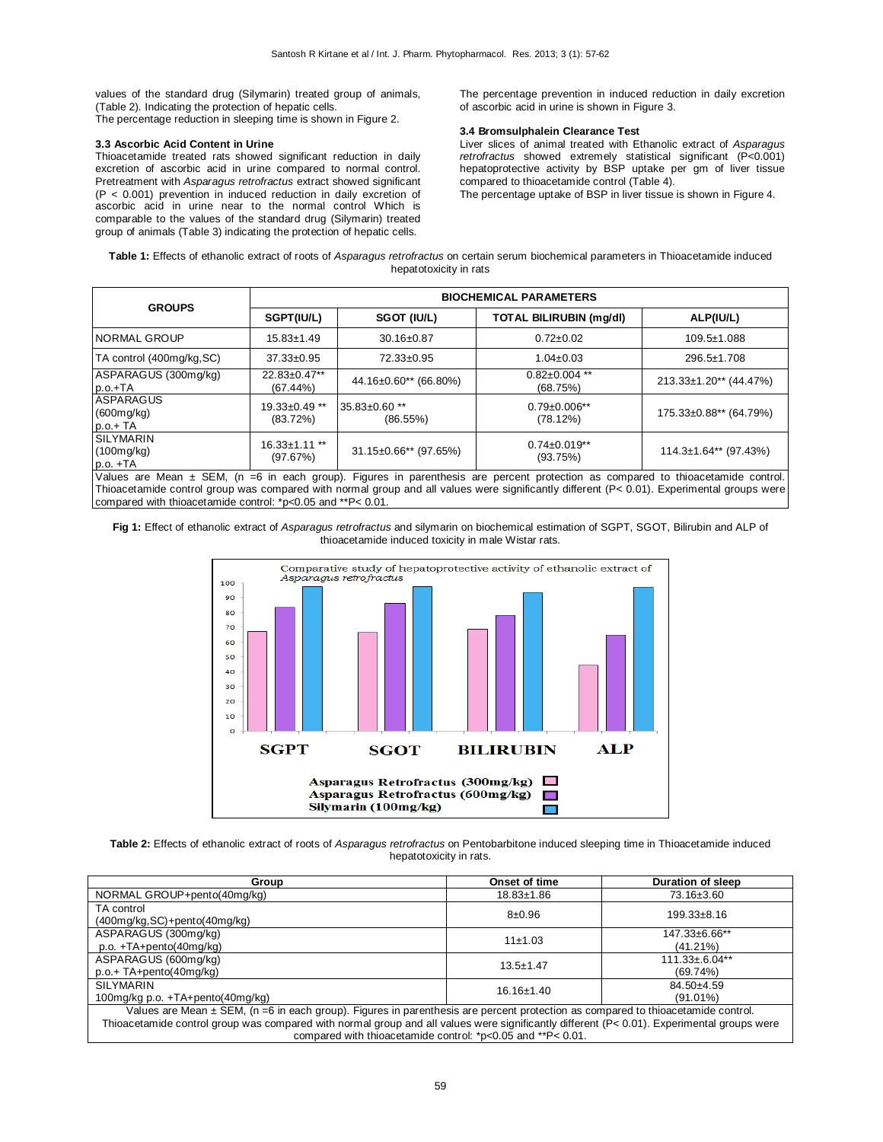values of the standard drug (Silymarin) treated group of animals, (Table 2). Indicating the protection of hepatic cells. The percentage reduction in sleeping time is shown in Figure 2.

## **3.3 Ascorbic Acid Content in Urine**

Thioacetamide treated rats showed significant reduction in daily excretion of ascorbic acid in urine compared to normal control. Pretreatment with *Asparagus retrofractus* extract showed significant (P < 0.001) prevention in induced reduction in daily excretion of ascorbic acid in urine near to the normal control Which is comparable to the values of the standard drug (Silymarin) treated group of animals (Table 3) indicating the protection of hepatic cells.

The percentage prevention in induced reduction in daily excretion of ascorbic acid in urine is shown in Figure 3.

## **3.4 Bromsulphalein Clearance Test**

Liver slices of animal treated with Ethanolic extract of *Asparagus retrofractus* showed extremely statistical significant (P<0.001) hepatoprotective activity by BSP uptake per gm of liver tissue compared to thioacetamide control (Table 4).

The percentage uptake of BSP in liver tissue is shown in Figure 4.

**Table 1:** Effects of ethanolic extract of roots of *Asparagus retrofractus* on certain serum biochemical parameters in Thioacetamide induced hepatotoxicity in rats

| <b>GROUPS</b>                                | <b>BIOCHEMICAL PARAMETERS</b>   |                                         |                                 |                                         |  |
|----------------------------------------------|---------------------------------|-----------------------------------------|---------------------------------|-----------------------------------------|--|
|                                              | SGPT(IU/L)                      | SGOT (IU/L)                             | <b>TOTAL BILIRUBIN (mg/dl)</b>  | ALP(IU/L)                               |  |
| <b>NORMAL GROUP</b>                          | $15.83 \pm 1.49$                | 30.16±0.87                              | $0.72 \pm 0.02$                 | 109.5±1.088                             |  |
| TA control (400mg/kg, SC)                    | $37.33 \pm 0.95$                | 72.33±0.95                              | $1.04 \pm 0.03$                 | 296.5±1.708                             |  |
| ASPARAGUS (300mg/kg)<br>$p.o.+TA$            | 22.83±0.47**<br>$(67.44\%)$     | 44.16±0.60** (66.80%)                   | $0.82 \pm 0.004$ **<br>(68.75%) | 213.33±1.20** (44.47%)                  |  |
| ASPARAGUS<br>(600mg/kg)<br>$p.o.+TA$         | $19.33 \pm 0.49$ **<br>(83.72%) | 35.83±0.60 **<br>(86.55%)               | $0.79 \pm 0.006$ **<br>(78.12%) | 175.33±0.88** (64.79%)                  |  |
| <b>SILYMARIN</b><br>(100mg/kg)<br>$p.o. +TA$ | $16.33 \pm 1.11$ **<br>(97.67%) | $31.15 \pm 0.66$ <sup>**</sup> (97.65%) | $0.74 \pm 0.019**$<br>(93.75%)  | $114.3 \pm 1.64$ <sup>**</sup> (97.43%) |  |

Values are Mean ± SEM, (n =6 in each group). Figures in parenthesis are percent protection as compared to thioacetamide control. Thioacetamide control group was compared with normal group and all values were significantly different (P< 0.01). Experimental groups were compared with thioacetamide control: \*p<0.05 and \*\*P< 0.01.





**Table 2:** Effects of ethanolic extract of roots of *Asparagus retrofractus* on Pentobarbitone induced sleeping time in Thioacetamide induced hepatotoxicity in rats.

| Group                                                                                                                                                                                                                                                                                                                                         | Onset of time    | Duration of sleep                  |  |  |  |
|-----------------------------------------------------------------------------------------------------------------------------------------------------------------------------------------------------------------------------------------------------------------------------------------------------------------------------------------------|------------------|------------------------------------|--|--|--|
| NORMAL GROUP+pento(40mg/kg)                                                                                                                                                                                                                                                                                                                   | $18.83 \pm 1.86$ | 73.16±3.60                         |  |  |  |
| TA control<br>$(400$ mg/kg, SC $)+$ pento $(40$ mg/kg $)$                                                                                                                                                                                                                                                                                     | $8 + 0.96$       | $199.33 \pm 8.16$                  |  |  |  |
| ASPARAGUS (300mg/kg)<br>$p.o. +TA + pento(40mq/kg)$                                                                                                                                                                                                                                                                                           | 11±1.03          | 147.33±6.66**<br>(41.21%)          |  |  |  |
| ASPARAGUS (600mg/kg)<br>$p.o.+TA+pento(40mq/kg)$                                                                                                                                                                                                                                                                                              | $13.5 \pm 1.47$  | $111.33 \pm 6.04**$<br>$(69.74\%)$ |  |  |  |
| SILYMARIN<br>100mg/kg p.o. +TA+pento(40mg/kg)                                                                                                                                                                                                                                                                                                 | $16.16 \pm 1.40$ | $84.50 + 4.59$<br>$(91.01\%)$      |  |  |  |
| Values are Mean ± SEM, (n =6 in each group). Figures in parenthesis are percent protection as compared to thioacetamide control.<br>Thioacetamide control group was compared with normal group and all values were significantly different (P< 0.01). Experimental groups were<br>compared with thioacetamide control: *p<0.05 and **P< 0.01. |                  |                                    |  |  |  |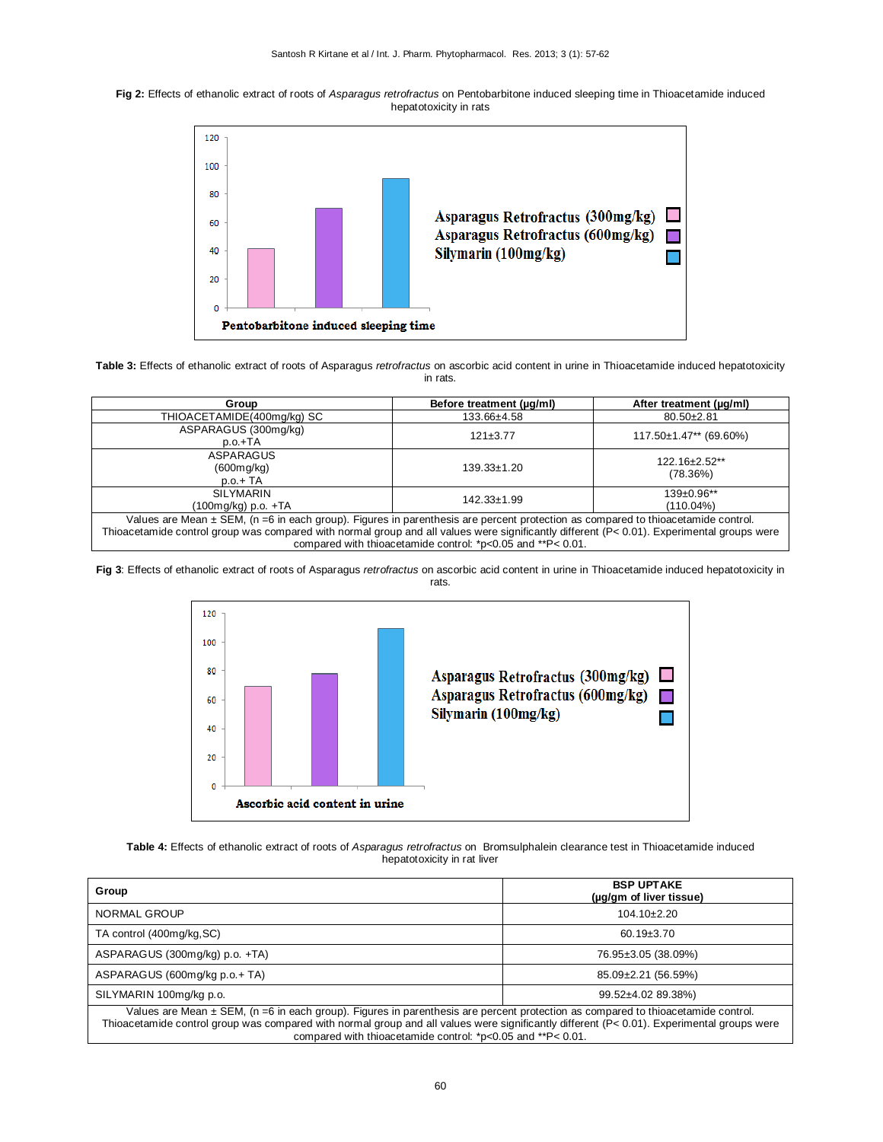



**Table 3:** Effects of ethanolic extract of roots of Asparagus *retrofractus* on ascorbic acid content in urine in Thioacetamide induced hepatotoxicity in rats.

| Group                                                                                                                                                                                                                                                                                                                                            | Before treatment (µq/ml) | After treatment (µg/ml)                  |  |  |
|--------------------------------------------------------------------------------------------------------------------------------------------------------------------------------------------------------------------------------------------------------------------------------------------------------------------------------------------------|--------------------------|------------------------------------------|--|--|
| THIOACETAMIDE(400mg/kg) SC                                                                                                                                                                                                                                                                                                                       | 133.66±4.58              | $80.50 \pm 2.81$                         |  |  |
| ASPARAGUS (300mg/kg)<br>$p.o.+TA$                                                                                                                                                                                                                                                                                                                | $121 \pm 3.77$           | $117.50 \pm 1.47$ <sup>**</sup> (69.60%) |  |  |
| ASPARAGUS<br>(600mg/kg)<br>$p.o.+TA$                                                                                                                                                                                                                                                                                                             | $139.33 \pm 1.20$        | 122.16±2.52**<br>(78.36%)                |  |  |
| SILYMARIN<br>(100mg/kg) p.o. +TA                                                                                                                                                                                                                                                                                                                 | $142.33 \pm 1.99$        | $139+0.96**$<br>$(110.04\%)$             |  |  |
| Values are Mean $\pm$ SEM, (n =6 in each group). Figures in parenthesis are percent protection as compared to thioacetamide control.<br>Thioacetamide control group was compared with normal group and all values were significantly different (P< 0.01). Experimental groups were<br>compared with thioacetamide control: *p<0.05 and **P<0.01. |                          |                                          |  |  |

**Fig 3**: Effects of ethanolic extract of roots of Asparagus *retrofractus* on ascorbic acid content in urine in Thioacetamide induced hepatotoxicity in rats.



**Table 4:** Effects of ethanolic extract of roots of *Asparagus retrofractus* on Bromsulphalein clearance test in Thioacetamide induced hepatotoxicity in rat liver

| Group                                                                                                                                                                                                                                                                                                                                        | <b>BSP UPTAKE</b><br>(µg/gm of liver tissue) |  |  |  |
|----------------------------------------------------------------------------------------------------------------------------------------------------------------------------------------------------------------------------------------------------------------------------------------------------------------------------------------------|----------------------------------------------|--|--|--|
| NORMAL GROUP                                                                                                                                                                                                                                                                                                                                 | $104.10 \pm 2.20$                            |  |  |  |
| TA control (400mg/kg, SC)                                                                                                                                                                                                                                                                                                                    | $60.19 \pm 3.70$                             |  |  |  |
| ASPARAGUS (300mg/kg) p.o. +TA)                                                                                                                                                                                                                                                                                                               | 76.95±3.05 (38.09%)                          |  |  |  |
| ASPARAGUS (600mg/kg p.o.+ TA)                                                                                                                                                                                                                                                                                                                | 85.09±2.21 (56.59%)                          |  |  |  |
| SILYMARIN 100mg/kg p.o.                                                                                                                                                                                                                                                                                                                      | 99.52±4.02 89.38%)                           |  |  |  |
| Values are Mean ± SEM, (n =6 in each group). Figures in parenthesis are percent protection as compared to thioacetamide control.<br>Thioacetamide control group was compared with normal group and all values were significantly different (P< 0.01). Experimental groups were<br>compared with thioacetamide control: *p<0.05 and **P<0.01. |                                              |  |  |  |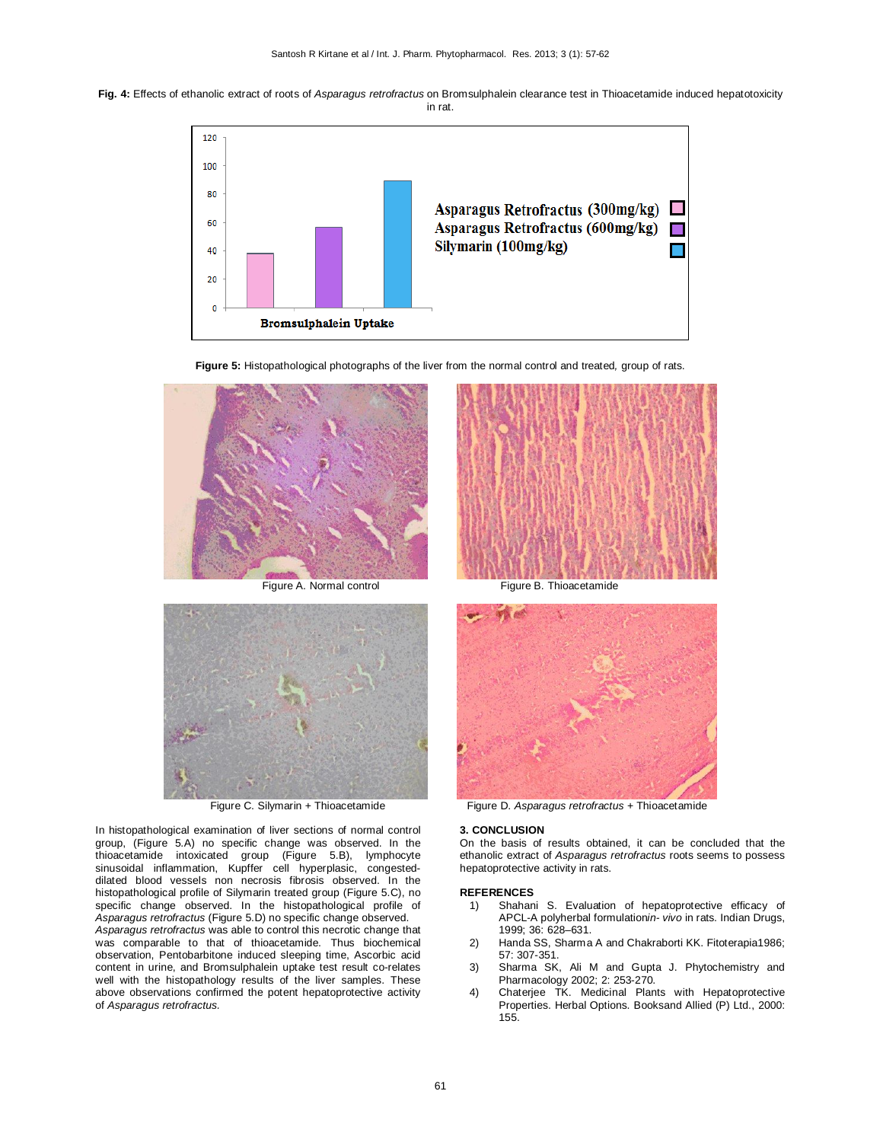**Fig. 4:** Effects of ethanolic extract of roots of *Asparagus retrofractus* on Bromsulphalein clearance test in Thioacetamide induced hepatotoxicity in rat.









In histopathological examination of liver sections of normal control group, (Figure 5.A) no specific change was observed. In the thioacetamide intoxicated group (Figure 5.B), lymphocyte sinusoidal inflammation, Kupffer cell hyperplasic, congesteddilated blood vessels non necrosis fibrosis observed. In the histopathological profile of Silymarin treated group (Figure 5.C), no specific change observed. In the histopathological profile of *Asparagus retrofractus* (Figure 5.D) no specific change observed.

*Asparagus retrofractus* was able to control this necrotic change that was comparable to that of thioacetamide. Thus biochemical observation, Pentobarbitone induced sleeping time, Ascorbic acid content in urine, and Bromsulphalein uptake test result co-relates well with the histopathology results of the liver samples. These above observations confirmed the potent hepatoprotective activity of *Asparagus retrofractus.*





Figure C. Silymarin + Thioacetamide Figure D. *Asparagus retrofractus* + Thioacetamide

#### **3. CONCLUSION**

On the basis of results obtained, it can be concluded that the ethanolic extract of *Asparagus retrofractus* roots seems to possess hepatoprotective activity in rats.

#### **REFERENCES**

- 1) Shahani S. Evaluation of hepatoprotective efficacy of APCL-A polyherbal formulation*in- vivo* in rats. Indian Drugs, 1999; 36: 628–631.
- 2) Handa SS, Sharma A and Chakraborti KK. Fitoterapia1986; 57: 307-351.
- 3) Sharma SK, Ali M and Gupta J. Phytochemistry and Pharmacology 2002; 2: 253-270.
- 4) Chaterjee TK. Medicinal Plants with Hepatoprotective Properties. Herbal Options. Booksand Allied (P) Ltd., 2000: 155.